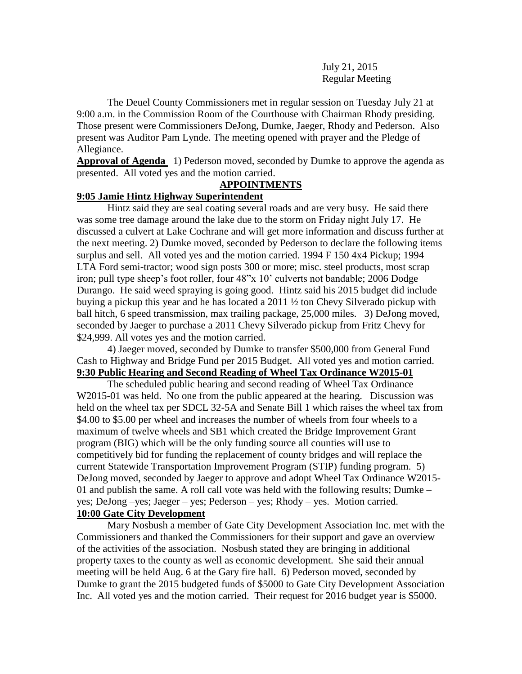July 21, 2015 Regular Meeting

The Deuel County Commissioners met in regular session on Tuesday July 21 at 9:00 a.m. in the Commission Room of the Courthouse with Chairman Rhody presiding. Those present were Commissioners DeJong, Dumke, Jaeger, Rhody and Pederson. Also present was Auditor Pam Lynde. The meeting opened with prayer and the Pledge of Allegiance.

**Approval of Agenda** 1) Pederson moved, seconded by Dumke to approve the agenda as presented. All voted yes and the motion carried.

### **APPOINTMENTS**

# **9:05 Jamie Hintz Highway Superintendent**

Hintz said they are seal coating several roads and are very busy. He said there was some tree damage around the lake due to the storm on Friday night July 17. He discussed a culvert at Lake Cochrane and will get more information and discuss further at the next meeting. 2) Dumke moved, seconded by Pederson to declare the following items surplus and sell. All voted yes and the motion carried. 1994 F 150 4x4 Pickup; 1994 LTA Ford semi-tractor; wood sign posts 300 or more; misc. steel products, most scrap iron; pull type sheep's foot roller, four 48"x 10' culverts not bandable; 2006 Dodge Durango. He said weed spraying is going good. Hintz said his 2015 budget did include buying a pickup this year and he has located a 2011 ½ ton Chevy Silverado pickup with ball hitch, 6 speed transmission, max trailing package, 25,000 miles. 3) DeJong moved, seconded by Jaeger to purchase a 2011 Chevy Silverado pickup from Fritz Chevy for \$24,999. All votes yes and the motion carried.

4) Jaeger moved, seconded by Dumke to transfer \$500,000 from General Fund Cash to Highway and Bridge Fund per 2015 Budget. All voted yes and motion carried. **9:30 Public Hearing and Second Reading of Wheel Tax Ordinance W2015-01**

The scheduled public hearing and second reading of Wheel Tax Ordinance W2015-01 was held. No one from the public appeared at the hearing. Discussion was held on the wheel tax per SDCL 32-5A and Senate Bill 1 which raises the wheel tax from \$4.00 to \$5.00 per wheel and increases the number of wheels from four wheels to a maximum of twelve wheels and SB1 which created the Bridge Improvement Grant program (BIG) which will be the only funding source all counties will use to competitively bid for funding the replacement of county bridges and will replace the current Statewide Transportation Improvement Program (STIP) funding program. 5) DeJong moved, seconded by Jaeger to approve and adopt Wheel Tax Ordinance W2015- 01 and publish the same. A roll call vote was held with the following results; Dumke – yes; DeJong –yes; Jaeger – yes; Pederson – yes; Rhody – yes. Motion carried. **10:00 Gate City Development**

Mary Nosbush a member of Gate City Development Association Inc. met with the Commissioners and thanked the Commissioners for their support and gave an overview of the activities of the association. Nosbush stated they are bringing in additional property taxes to the county as well as economic development. She said their annual meeting will be held Aug. 6 at the Gary fire hall. 6) Pederson moved, seconded by Dumke to grant the 2015 budgeted funds of \$5000 to Gate City Development Association Inc. All voted yes and the motion carried. Their request for 2016 budget year is \$5000.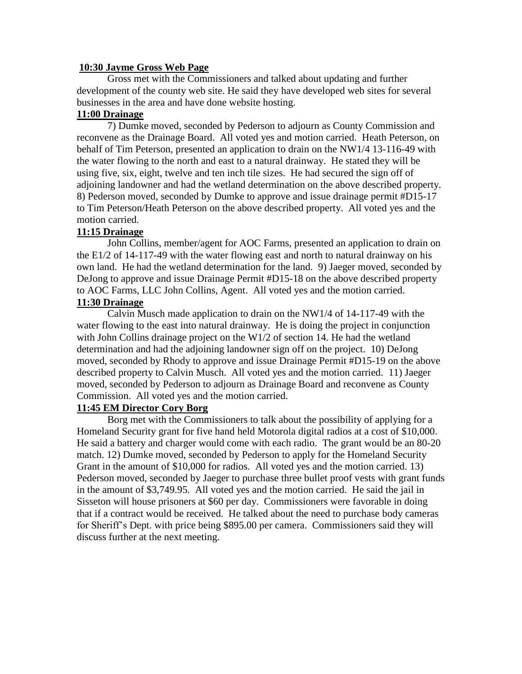#### **10:30 Jayme Gross Web Page**

Gross met with the Commissioners and talked about updating and further development of the county web site. He said they have developed web sites for several businesses in the area and have done website hosting.

## **11:00 Drainage**

7) Dumke moved, seconded by Pederson to adjourn as County Commission and reconvene as the Drainage Board. All voted yes and motion carried. Heath Peterson, on behalf of Tim Peterson, presented an application to drain on the NW1/4 13-116-49 with the water flowing to the north and east to a natural drainway. He stated they will be using five, six, eight, twelve and ten inch tile sizes. He had secured the sign off of adjoining landowner and had the wetland determination on the above described property. 8) Pederson moved, seconded by Dumke to approve and issue drainage permit #D15-17 to Tim Peterson/Heath Peterson on the above described property. All voted yes and the motion carried.

# **11:15 Drainage**

John Collins, member/agent for AOC Farms, presented an application to drain on the  $E1/2$  of 14-117-49 with the water flowing east and north to natural drainway on his own land. He had the wetland determination for the land. 9) Jaeger moved, seconded by DeJong to approve and issue Drainage Permit #D15-18 on the above described property to AOC Farms, LLC John Collins, Agent. All voted yes and the motion carried.

# **11:30 Drainage**

Calvin Musch made application to drain on the NW1/4 of 14-117-49 with the water flowing to the east into natural drainway. He is doing the project in conjunction with John Collins drainage project on the W1/2 of section 14. He had the wetland determination and had the adjoining landowner sign off on the project. 10) DeJong moved, seconded by Rhody to approve and issue Drainage Permit #D15-19 on the above described property to Calvin Musch. All voted yes and the motion carried. 11) Jaeger moved, seconded by Pederson to adjourn as Drainage Board and reconvene as County Commission. All voted yes and the motion carried.

# **11:45 EM Director Cory Borg**

Borg met with the Commissioners to talk about the possibility of applying for a Homeland Security grant for five hand held Motorola digital radios at a cost of \$10,000. He said a battery and charger would come with each radio. The grant would be an 80-20 match. 12) Dumke moved, seconded by Pederson to apply for the Homeland Security Grant in the amount of \$10,000 for radios. All voted yes and the motion carried. 13) Pederson moved, seconded by Jaeger to purchase three bullet proof vests with grant funds in the amount of \$3,749.95. All voted yes and the motion carried. He said the jail in Sisseton will house prisoners at \$60 per day. Commissioners were favorable in doing that if a contract would be received. He talked about the need to purchase body cameras for Sheriff's Dept. with price being \$895.00 per camera. Commissioners said they will discuss further at the next meeting.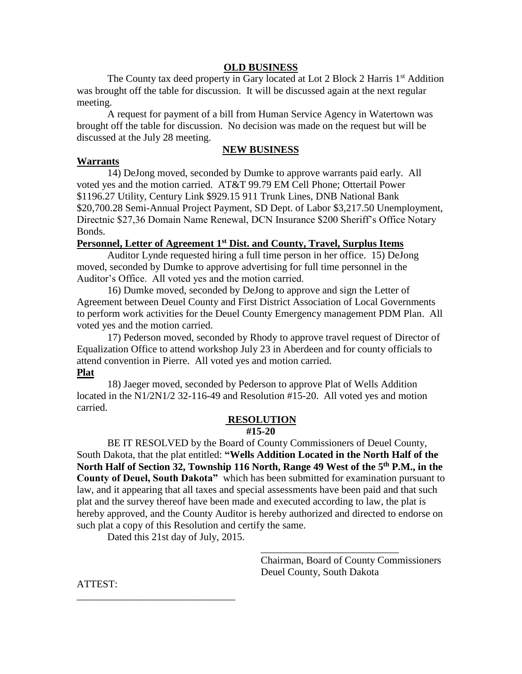#### **OLD BUSINESS**

The County tax deed property in Gary located at Lot 2 Block 2 Harris 1<sup>st</sup> Addition was brought off the table for discussion. It will be discussed again at the next regular meeting.

A request for payment of a bill from Human Service Agency in Watertown was brought off the table for discussion. No decision was made on the request but will be discussed at the July 28 meeting.

### **NEW BUSINESS**

#### **Warrants**

14) DeJong moved, seconded by Dumke to approve warrants paid early. All voted yes and the motion carried. AT&T 99.79 EM Cell Phone; Ottertail Power \$1196.27 Utility, Century Link \$929.15 911 Trunk Lines, DNB National Bank \$20,700.28 Semi-Annual Project Payment, SD Dept. of Labor \$3,217.50 Unemployment, Directnic \$27,36 Domain Name Renewal, DCN Insurance \$200 Sheriff's Office Notary Bonds.

## **Personnel, Letter of Agreement 1st Dist. and County, Travel, Surplus Items**

Auditor Lynde requested hiring a full time person in her office. 15) DeJong moved, seconded by Dumke to approve advertising for full time personnel in the Auditor's Office. All voted yes and the motion carried.

16) Dumke moved, seconded by DeJong to approve and sign the Letter of Agreement between Deuel County and First District Association of Local Governments to perform work activities for the Deuel County Emergency management PDM Plan. All voted yes and the motion carried.

 17) Pederson moved, seconded by Rhody to approve travel request of Director of Equalization Office to attend workshop July 23 in Aberdeen and for county officials to attend convention in Pierre. All voted yes and motion carried.

#### **Plat**

18) Jaeger moved, seconded by Pederson to approve Plat of Wells Addition located in the N1/2N1/2 32-116-49 and Resolution #15-20. All voted yes and motion carried.

### **RESOLUTION**

**#15-20**

BE IT RESOLVED by the Board of County Commissioners of Deuel County, South Dakota, that the plat entitled: **"Wells Addition Located in the North Half of the North Half of Section 32, Township 116 North, Range 49 West of the 5th P.M., in the County of Deuel, South Dakota"** which has been submitted for examination pursuant to law, and it appearing that all taxes and special assessments have been paid and that such plat and the survey thereof have been made and executed according to law, the plat is hereby approved, and the County Auditor is hereby authorized and directed to endorse on such plat a copy of this Resolution and certify the same.

Dated this 21st day of July, 2015.

\_\_\_\_\_\_\_\_\_\_\_\_\_\_\_\_\_\_\_\_\_\_\_\_\_\_\_\_\_\_\_

Chairman, Board of County Commissioners Deuel County, South Dakota

\_\_\_\_\_\_\_\_\_\_\_\_\_\_\_\_\_\_\_\_\_\_\_\_\_\_\_

ATTEST: